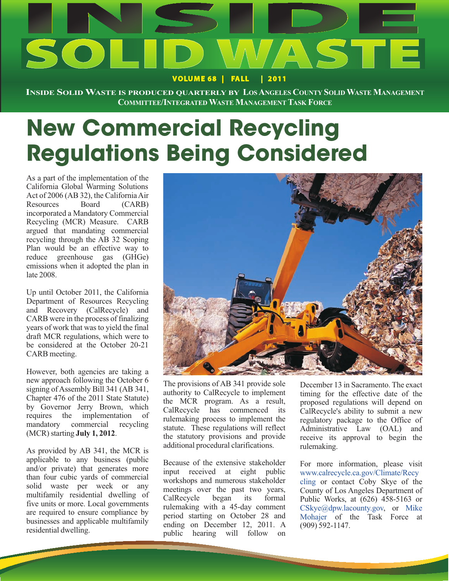

**INSIDE SOLIDWASTE IS PRODUCED QUARTERLY BY LOSANGELES COUNTY SOLIDWASTE MANAGEMENT COMMITTEE/INTEGRATEDWASTE MANAGEMENT TASK FORCE**

# **New Commercial Recycling Regulations Being Considered**

As a part of the implementation of the California Global Warming Solutions Act of 2006 (AB 32), the California Air Resources Board (CARB) incorporated a Mandatory Commercial Recycling (MCR) Measure. CARB argued that mandating commercial recycling through the AB 32 Scoping Plan would be an effective way to reduce greenhouse gas (GHGe) emissions when it adopted the plan in late 2008.

Up until October 2011, the California Department of Resources Recycling and Recovery (CalRecycle) and CARB were in the process of finalizing years of work that was to yield the final draft MCR regulations, which were to be considered at the October 20-21 CARB meeting.

However, both agencies are taking a new approach following the October 6 signing of Assembly Bill 341 (AB 341, Chapter 476 of the 2011 State Statute) by Governor Jerry Brown, which requires the implementation of mandatory commercial recycling (MCR) starting **July 1, 2012**.

As provided by AB 341, the MCR is applicable to any business (public and/or private) that generates more than four cubic yards of commercial solid waste per week or any multifamily residential dwelling of five units or more. Local governments are required to ensure compliance by businesses and applicable multifamily residential dwelling.



The provisions of AB 341 provide sole authority to CalRecycle to implement the MCR program. As a result, CalRecycle has commenced its rulemaking process to implement the statute. These regulations will reflect the statutory provisions and provide additional procedural clarifications.

Because of the extensive stakeholder input received at eight public workshops and numerous stakeholder meetings over the past two years, CalRecycle began its formal rulemaking with a 45-day comment period starting on October 28 and ending on December 12, 2011. A public hearing will follow on

December 13 in Sacramento. The exact timing for the effective date of the proposed regulations will depend on CalRecycle's ability to submit a new regulatory package to the Office of Administrative Law (OAL) and receive its approval to begin the rulemaking.

For more information, please visit www.calrecycle.ca.gov/Climate/Recy cling or contact Coby Skye of the County of Los Angeles Department of Public Works, at (626) 458-5163 or CSkye@dpw.lacounty.gov, or Mike Mohajer of the Task Force at (909) 592-1147.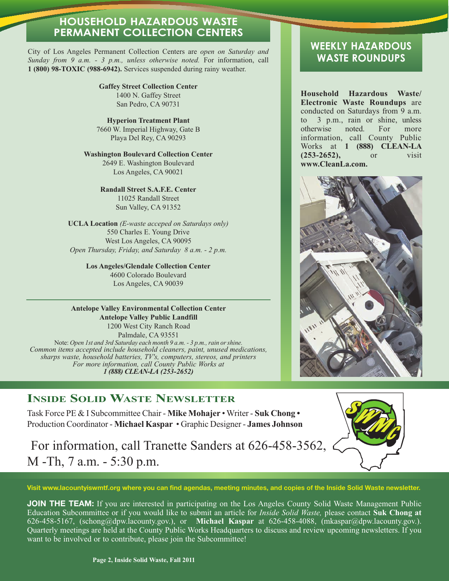#### **HOUSEHOLD HAZARDOUS WASTE PERMANENT COLLECTION CENTERS**

City of Los Angeles Permanent Collection Centers are *open on Saturday and Sunday from 9 a.m. - 3 p.m., unless otherwise noted.* For information, call **1 (800) 98-TOXIC (988-6942).** Services suspended during rainy weather.

> **Gaffey Street Collection Center** 1400 N. Gaffey Street San Pedro, CA 90731

**Hyperion Treatment Plant** 7660 W. Imperial Highway, Gate B Playa Del Rey, CA 90293

#### **Washington Boulevard Collection Center** 2649 E. Washington Boulevard Los Angeles, CA 90021

#### **Randall Street S.A.F.E. Center**

11025 Randall Street Sun Valley, CA 91352

**UCLA Location** *(E-waste acceped on Saturdays only)* 550 Charles E. Young Drive West Los Angeles, CA 90095 *Open Thursday, Friday, and Saturday 8 a.m. - 2 p.m.*

> **Los Angeles/Glendale Collection Center** 4600 Colorado Boulevard Los Angeles, CA 90039

#### **Antelope Valley Environmental Collection Center Antelope Valley Public Landfill**

1200 West City Ranch Road Palmdale, CA 93551 Note: *Open 1st and 3rd Saturday each month 9 a.m. - 3 p.m., rain or shine. Common items accepted include household cleaners, paint, unused medications, sharps waste, household batteries, TV's, computers, stereos, and printers For more information, call County Public Works at 1 (888) CLEAN-LA (253-2652)*

### **INSIDE SOLID WASTE NEWSLETTER**

Task Force PE & I Subcommittee Chair - **Mike Mohajer** • Writer - **Suk Chong •** Production Coordinator - **Michael Kaspar** • Graphic Designer - **James Johnson**

For information, call Tranette Sanders at 626-458-3562, M -Th, 7 a.m. - 5:30 p.m.



**Visit www.lacountyiswmtf.org where you can find agendas, meeting minutes, and copies of the Inside Solid Waste newsletter.**

**JOIN THE TEAM:** If you are interested in participating on the Los Angeles County Solid Waste Management Public Education Subcommittee or if you would like to submit an article for *Inside Solid Waste,* please contact **Suk Chong at** 626-458-5167, (schong@dpw.lacounty.gov.), or **Michael Kaspar** at 626-458-4088, (mkaspar@dpw.lacounty.gov.). Quarterly meetings are held at the County Public Works Headquarters to discuss and review upcoming newsletters. If you want to be involved or to contribute, please join the Subcommittee!

#### **WEEKLY HAZARDOUS WASTE ROUNDUPS**

**Household Hazardous Waste/ Electronic Waste Roundups** are conducted on Saturdays from 9 a.m. to 3 p.m., rain or shine, unless otherwise noted. For more information, call County Public Works at **1 (888) CLEAN-LA (253-2652),** or visit **www.CleanLa.com.**

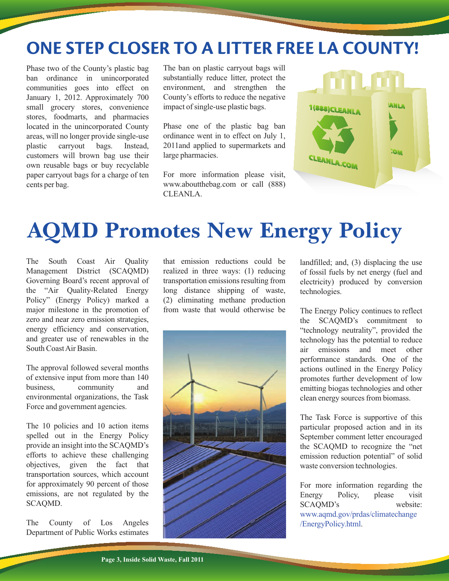## **ONE STEP CLOSER TO A LITTER FREE LA COUNTY!**

Phase two of the County's plastic bag ban ordinance in unincorporated communities goes into effect on January 1, 2012. Approximately 700 small grocery stores, convenience stores, foodmarts, and pharmacies located in the unincorporated County areas, will no longer provide single-use plastic carryout bags. Instead, customers will brown bag use their own reusable bags or buy recyclable paper carryout bags for a charge of ten cents per bag.

The ban on plastic carryout bags will substantially reduce litter, protect the environment, and strengthen the County's efforts to reduce the negative impact of single-use plastic bags.

Phase one of the plastic bag ban ordinance went in to effect on July 1, 2011and applied to supermarkets and large pharmacies.

For more information please visit, www.aboutthebag.com or call (888) CLEANLA.



## **AQMD Promotes New Energy Policy**

The South Coast Air Quality Management District (SCAQMD) Governing Board's recent approval of the "Air Quality-Related Energy Policy" (Energy Policy) marked a major milestone in the promotion of zero and near zero emission strategies, energy efficiency and conservation, and greater use of renewables in the South Coast Air Basin.

The approval followed several months of extensive input from more than 140 business, community and environmental organizations, the Task Force and government agencies.

The 10 policies and 10 action items spelled out in the Energy Policy provide an insight into the SCAQMD's efforts to achieve these challenging objectives, given the fact that transportation sources, which account for approximately 90 percent of those emissions, are not regulated by the SCAQMD.

The County of Los Angeles Department of Public Works estimates that emission reductions could be realized in three ways: (1) reducing transportation emissions resulting from long distance shipping of waste, (2) eliminating methane production from waste that would otherwise be



landfilled; and, (3) displacing the use of fossil fuels by net energy (fuel and electricity) produced by conversion technologies.

The Energy Policy continues to reflect the SCAQMD's commitment to "technology neutrality", provided the technology has the potential to reduce air emissions and meet other performance standards. One of the actions outlined in the Energy Policy promotes further development of low emitting biogas technologies and other clean energy sources from biomass.

The Task Force is supportive of this particular proposed action and in its September comment letter encouraged the SCAQMD to recognize the "net emission reduction potential" of solid waste conversion technologies.

For more information regarding the Energy Policy, please visit SCAQMD's website: www.aqmd.gov/prdas/climatechange /EnergyPolicy.html.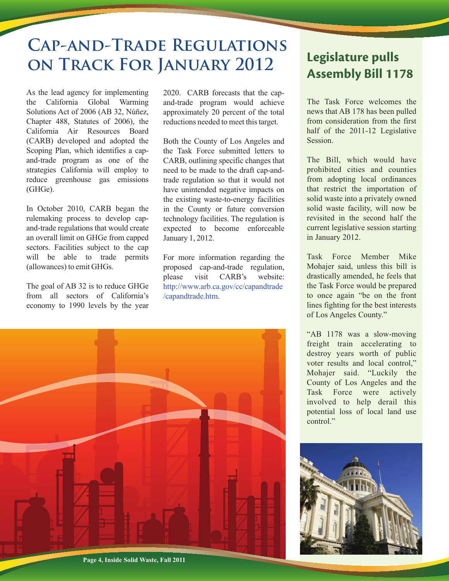## **Cap-and-Trade Regulations on Track For January 2012**

As the lead agency for implementing the California Global Warming Solutions Act of 2006 (AB 32, Núñez, Chapter 488, Statutes of 2006), the California Air Resources Board (CARB) developed and adopted the Scoping Plan, which identifies a capand-trade program as one of the strategies California will employ to reduce greenhouse gas emissions (GHGe).

In October 2010, CARB began the rulemaking process to develop capand-trade regulations that would create an overall limit on GHGe from capped sectors. Facilities subject to the cap will be able to trade permits (allowances) to emit GHGs.

The goal of AB 32 is to reduce GHGe from all sectors of California's economy to 1990 levels by the year

2020. CARB forecasts that the capand-trade program would achieve approximately 20 percent of the total reductions needed to meet this target.

Both the County of Los Angeles and the Task Force submitted letters to CARB, outlining specific changes that need to be made to the draft cap-andtrade regulation so that it would not have unintended negative impacts on the existing waste-to-energy facilities in the County or future conversion technology facilities. The regulation is expected to become enforceable January 1, 2012.

For more information regarding the proposed cap-and-trade regulation, please visit CARB's website: http://www.arb.ca.gov/cc/capandtrade /capandtrade.htm.



### **Legislature pulls Assembly Bill 1178**

The Task Force welcomes the news that AB 178 has been pulled from consideration from the first half of the 2011-12 Legislative Session.

The Bill, which would have prohibited cities and counties from adopting local ordinances that restrict the importation of solid waste into a privately owned solid waste facility, will now be revisited in the second half the current legislative session starting in January 2012.

Task Force Member Mike Mohajer said, unless this bill is drastically amended, he feels that the Task Force would be prepared to once again "be on the front lines fighting for the best interests of Los Angeles County."

"AB 1178 was a slow-moving freight train accelerating to destroy years worth of public voter results and local control," Mohajer said. "Luckily the County of Los Angeles and the Task Force were actively involved to help derail this potential loss of local land use control"

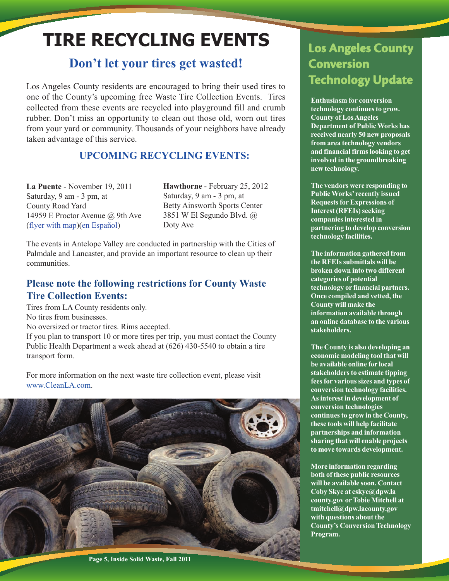## **TIRE RECYCLING EVENTS**

### **Don't let your tires get wasted!**

Los Angeles County residents are encouraged to bring their used tires to one of the County's upcoming free Waste Tire Collection Events. Tires collected from these events are recycled into playground fill and crumb rubber. Don't miss an opportunity to clean out those old, worn out tires from your yard or community. Thousands of your neighbors have already taken advantage of this service.

#### **UPCOMING RECYCLING EVENTS:**

**La Puente** - November 19, 2011 Saturday, 9 am - 3 pm, at County Road Yard 14959 E Proctor Avenue @ 9th Ave (flyer with map)(en Español)

**Hawthorne** - February 25, 2012 Saturday, 9 am - 3 pm, at Betty Ainsworth Sports Center 3851 W El Segundo Blvd. @ Doty Ave

The events in Antelope Valley are conducted in partnership with the Cities of Palmdale and Lancaster, and provide an important resource to clean up their communities.

#### **Please note the following restrictions for County Waste Tire Collection Events:**

Tires from LA County residents only. No tires from businesses. No oversized or tractor tires. Rims accepted.

If you plan to transport 10 or more tires per trip, you must contact the County Public Health Department a week ahead at (626) 430-5540 to obtain a tire transport form.

For more information on the next waste tire collection event, please visit www.CleanLA.com.



**Los Angeles County Conversion Technology Update**

**Enthusiasm for conversion technology continues to grow. County of Los Angeles Department of Public Works has received nearly 50 new proposals from area technology vendors and financial firms looking to get involved in the groundbreaking new technology.** 

**The vendors were responding to Public Works' recently issued Requests for Expressions of Interest (RFEIs) seeking companies interested in partnering to develop conversion technology facilities.** 

**The information gathered from the RFEIs submittals will be broken down into two different categories of potential technology or financial partners. Once compiled and vetted, the County will make the information available through an online database to the various stakeholders.** 

**The County is also developing an economic modeling tool that will be available online for local stakeholders to estimate tipping fees for various sizes and types of conversion technology facilities. As interest in development of conversion technologies continues to grow in the County, these tools will help facilitate partnerships and information sharing that will enable projects to move towards development.** 

**More information regarding both of these public resources will be available soon. Contact Coby Skye at cskye@dpw.la county.gov or Tobie Mitchell at tmitchell@dpw.lacounty.gov with questions about the County's Conversion Technology Program.** 

**Page 5, Inside Solid Waste, Fall 2011**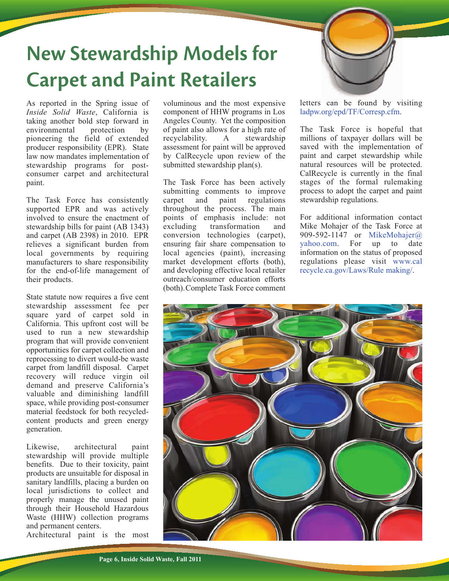## **New Stewardship Models for Carpet and Paint Retailers**



As reported in the Spring issue of *Inside Solid Waste*, California is taking another bold step forward in environmental protection by pioneering the field of extended producer responsibility (EPR). State law now mandates implementation of stewardship programs for postconsumer carpet and architectural paint.

The Task Force has consistently supported EPR and was actively involved to ensure the enactment of stewardship bills for paint (AB 1343) and carpet (AB 2398) in 2010. EPR relieves a significant burden from local governments by requiring manufacturers to share responsibility for the end-of-life management of their products.

State statute now requires a five cent stewardship assessment fee per square yard of carpet sold in California. This upfront cost will be used to run a new stewardship program that will provide convenient opportunities for carpet collection and reprocessing to divert would-be waste carpet from landfill disposal. Carpet recovery will reduce virgin oil demand and preserve California's valuable and diminishing landfill space, while providing post-consumer material feedstock for both recycledcontent products and green energy generation.

Likewise, architectural paint stewardship will provide multiple benefits. Due to their toxicity, paint products are unsuitable for disposal in sanitary landfills, placing a burden on local jurisdictions to collect and properly manage the unused paint through their Household Hazardous Waste (HHW) collection programs and permanent centers.

Architectural paint is the most

voluminous and the most expensive component of HHW programs in Los Angeles County. Yet the composition of paint also allows for a high rate of recyclability. A stewardship assessment for paint will be approved by CalRecycle upon review of the submitted stewardship plan(s).

The Task Force has been actively submitting comments to improve carpet and paint regulations throughout the process. The main points of emphasis include: not excluding transformation and conversion technologies (carpet), ensuring fair share compensation to local agencies (paint), increasing market development efforts (both), and developing effective local retailer outreach/consumer education efforts (both).Complete Task Force comment letters can be found by visiting ladpw.org/epd/TF/Corresp.cfm.

The Task Force is hopeful that millions of taxpayer dollars will be saved with the implementation of paint and carpet stewardship while natural resources will be protected. CalRecycle is currently in the final stages of the formal rulemaking process to adopt the carpet and paint stewardship regulations.

For additional information contact Mike Mohajer of the Task Force at 909-592-1147 or MikeMohajer@ yahoo.com. For up to date information on the status of proposed regulations please visit www.cal recycle.ca.gov/Laws/Rule making/.

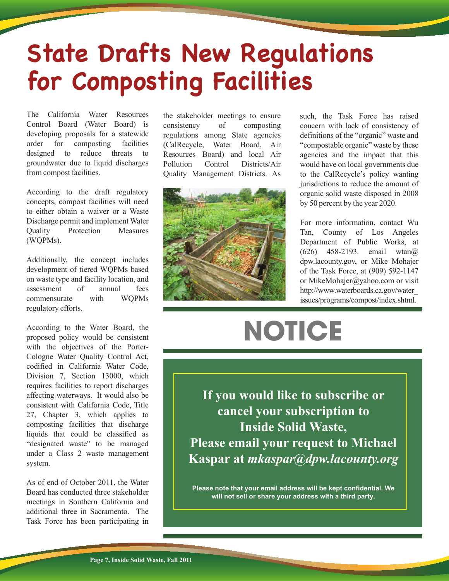# **State Drafts New Regulations for Composting Facilities**

The California Water Resources Control Board (Water Board) is developing proposals for a statewide order for composting facilities designed to reduce threats to groundwater due to liquid discharges from compost facilities.

According to the draft regulatory concepts, compost facilities will need to either obtain a waiver or a Waste Discharge permit and implement Water Quality Protection Measures (WQPMs).

Additionally, the concept includes development of tiered WQPMs based on waste type and facility location, and assessment of annual fees commensurate with WQPMs regulatory efforts.

According to the Water Board, the proposed policy would be consistent with the objectives of the Porter-Cologne Water Quality Control Act, codified in California Water Code, Division 7, Section 13000, which requires facilities to report discharges affecting waterways. It would also be consistent with California Code, Title 27, Chapter 3, which applies to composting facilities that discharge liquids that could be classified as "designated waste" to be managed under a Class 2 waste management system.

As of end of October 2011, the Water Board has conducted three stakeholder meetings in Southern California and additional three in Sacramento. The Task Force has been participating in

the stakeholder meetings to ensure consistency of composting regulations among State agencies (CalRecycle, Water Board, Air Resources Board) and local Air Pollution Control Districts/Air Quality Management Districts. As



such, the Task Force has raised concern with lack of consistency of definitions of the "organic" waste and "compostable organic" waste by these agencies and the impact that this would have on local governments due to the CalRecycle's policy wanting jurisdictions to reduce the amount of organic solid waste disposed in 2008 by 50 percent by the year 2020.

For more information, contact Wu Tan, County of Los Angeles Department of Public Works, at (626) 458-2193. email wtan@ dpw.lacounty.gov, or Mike Mohajer of the Task Force, at (909) 592-1147 or MikeMohajer@yahoo.com or visit http://www.waterboards.ca.gov/water\_ issues/programs/compost/index.shtml.

# **NOTICE**

**If you would like to subscribe or cancel your subscription to Inside Solid Waste, Please email your request to Michael Kaspar at** *mkaspar@dpw.lacounty.org*

**Please note that your email address will be kept confidential. We will not sell or share your address with a third party.**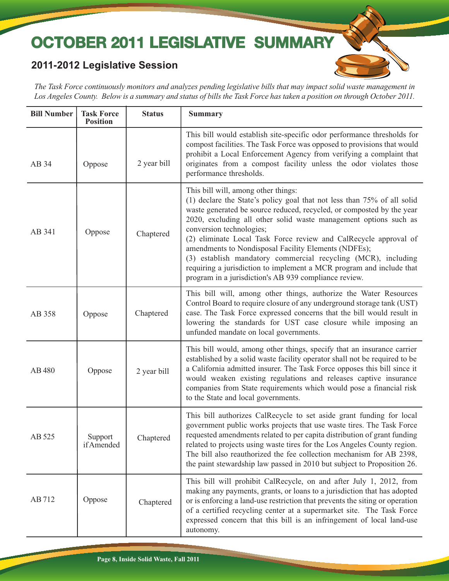## **OCTOBER 2011 LEGISLATIVE SUMMARY**

#### **2011-2012 Legislative Session**

*The Task Force continuously monitors and analyzes pending legislative bills that may impact solid waste management in Los Angeles County. Below is a summary and status of bills the Task Force has taken a position on through October 2011.*

| <b>Bill Number</b> | <b>Task Force</b><br><b>Position</b> | <b>Status</b> | <b>Summary</b>                                                                                                                                                                                                                                                                                                                                                                                                                                                                                                                                                                                                        |
|--------------------|--------------------------------------|---------------|-----------------------------------------------------------------------------------------------------------------------------------------------------------------------------------------------------------------------------------------------------------------------------------------------------------------------------------------------------------------------------------------------------------------------------------------------------------------------------------------------------------------------------------------------------------------------------------------------------------------------|
| AB 34              | Oppose                               | 2 year bill   | This bill would establish site-specific odor performance thresholds for<br>compost facilities. The Task Force was opposed to provisions that would<br>prohibit a Local Enforcement Agency from verifying a complaint that<br>originates from a compost facility unless the odor violates those<br>performance thresholds.                                                                                                                                                                                                                                                                                             |
| AB 341             | Oppose                               | Chaptered     | This bill will, among other things:<br>(1) declare the State's policy goal that not less than 75% of all solid<br>waste generated be source reduced, recycled, or composted by the year<br>2020, excluding all other solid waste management options such as<br>conversion technologies;<br>(2) eliminate Local Task Force review and CalRecycle approval of<br>amendments to Nondisposal Facility Elements (NDFEs);<br>(3) establish mandatory commercial recycling (MCR), including<br>requiring a jurisdiction to implement a MCR program and include that<br>program in a jurisdiction's AB 939 compliance review. |
| AB 358             | Oppose                               | Chaptered     | This bill will, among other things, authorize the Water Resources<br>Control Board to require closure of any underground storage tank (UST)<br>case. The Task Force expressed concerns that the bill would result in<br>lowering the standards for UST case closure while imposing an<br>unfunded mandate on local governments.                                                                                                                                                                                                                                                                                       |
| AB 480             | Oppose                               | 2 year bill   | This bill would, among other things, specify that an insurance carrier<br>established by a solid waste facility operator shall not be required to be<br>a California admitted insurer. The Task Force opposes this bill since it<br>would weaken existing regulations and releases captive insurance<br>companies from State requirements which would pose a financial risk<br>to the State and local governments.                                                                                                                                                                                                    |
| AB 525             | Support<br>if Amended                | Chaptered     | This bill authorizes CalRecycle to set aside grant funding for local<br>government public works projects that use waste tires. The Task Force<br>requested amendments related to per capita distribution of grant funding<br>related to projects using waste tires for the Los Angeles County region.<br>The bill also reauthorized the fee collection mechanism for AB 2398,<br>the paint stewardship law passed in 2010 but subject to Proposition 26.                                                                                                                                                              |
| AB 712             | Oppose                               | Chaptered     | This bill will prohibit CalRecycle, on and after July 1, 2012, from<br>making any payments, grants, or loans to a jurisdiction that has adopted<br>or is enforcing a land-use restriction that prevents the siting or operation<br>of a certified recycling center at a supermarket site. The Task Force<br>expressed concern that this bill is an infringement of local land-use<br>autonomy.                                                                                                                                                                                                                        |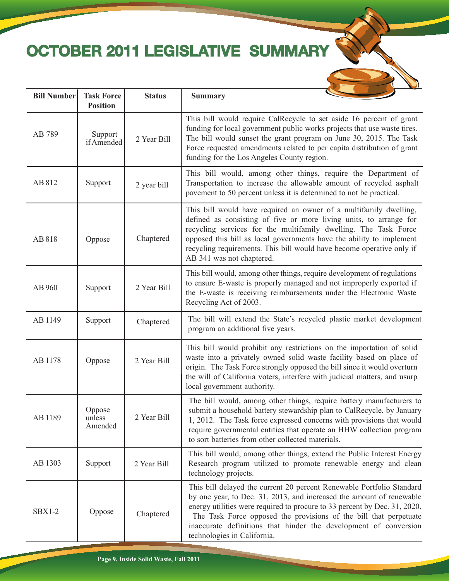## **OCTOBER 2011 LEGISLATIVE SUMMAR**

**Bill Number** Task Force Status Summary

| 2ł<br>n.<br>г |  |  |
|---------------|--|--|
|               |  |  |
|               |  |  |

|               | <b>Position</b>             |             |                                                                                                                                                                                                                                                                                                                                                                                                    |
|---------------|-----------------------------|-------------|----------------------------------------------------------------------------------------------------------------------------------------------------------------------------------------------------------------------------------------------------------------------------------------------------------------------------------------------------------------------------------------------------|
| AB 789        | Support<br>if Amended       | 2 Year Bill | This bill would require CalRecycle to set aside 16 percent of grant<br>funding for local government public works projects that use waste tires.<br>The bill would sunset the grant program on June 30, 2015. The Task<br>Force requested amendments related to per capita distribution of grant<br>funding for the Los Angeles County region.                                                      |
| AB 812        | Support                     | 2 year bill | This bill would, among other things, require the Department of<br>Transportation to increase the allowable amount of recycled asphalt<br>pavement to 50 percent unless it is determined to not be practical.                                                                                                                                                                                       |
| AB 818        | Oppose                      | Chaptered   | This bill would have required an owner of a multifamily dwelling,<br>defined as consisting of five or more living units, to arrange for<br>recycling services for the multifamily dwelling. The Task Force<br>opposed this bill as local governments have the ability to implement<br>recycling requirements. This bill would have become operative only if<br>AB 341 was not chaptered.           |
| AB 960        | Support                     | 2 Year Bill | This bill would, among other things, require development of regulations<br>to ensure E-waste is properly managed and not improperly exported if<br>the E-waste is receiving reimbursements under the Electronic Waste<br>Recycling Act of 2003.                                                                                                                                                    |
| AB 1149       | Support                     | Chaptered   | The bill will extend the State's recycled plastic market development<br>program an additional five years.                                                                                                                                                                                                                                                                                          |
| AB 1178       | Oppose                      | 2 Year Bill | This bill would prohibit any restrictions on the importation of solid<br>waste into a privately owned solid waste facility based on place of<br>origin. The Task Force strongly opposed the bill since it would overturn<br>the will of California voters, interfere with judicial matters, and usurp<br>local government authority.                                                               |
| AB 1189       | Oppose<br>unless<br>Amended | 2 Year Bill | The bill would, among other things, require battery manufacturers to<br>submit a household battery stewardship plan to CalRecycle, by January<br>1, 2012. The Task force expressed concerns with provisions that would<br>require governmental entities that operate an HHW collection program<br>to sort batteries from other collected materials.                                                |
| AB 1303       | Support                     | 2 Year Bill | This bill would, among other things, extend the Public Interest Energy<br>Research program utilized to promote renewable energy and clean<br>technology projects.                                                                                                                                                                                                                                  |
| <b>SBX1-2</b> | Oppose                      | Chaptered   | This bill delayed the current 20 percent Renewable Portfolio Standard<br>by one year, to Dec. 31, 2013, and increased the amount of renewable<br>energy utilities were required to procure to 33 percent by Dec. 31, 2020.<br>The Task Force opposed the provisions of the bill that perpetuate<br>inaccurate definitions that hinder the development of conversion<br>technologies in California. |